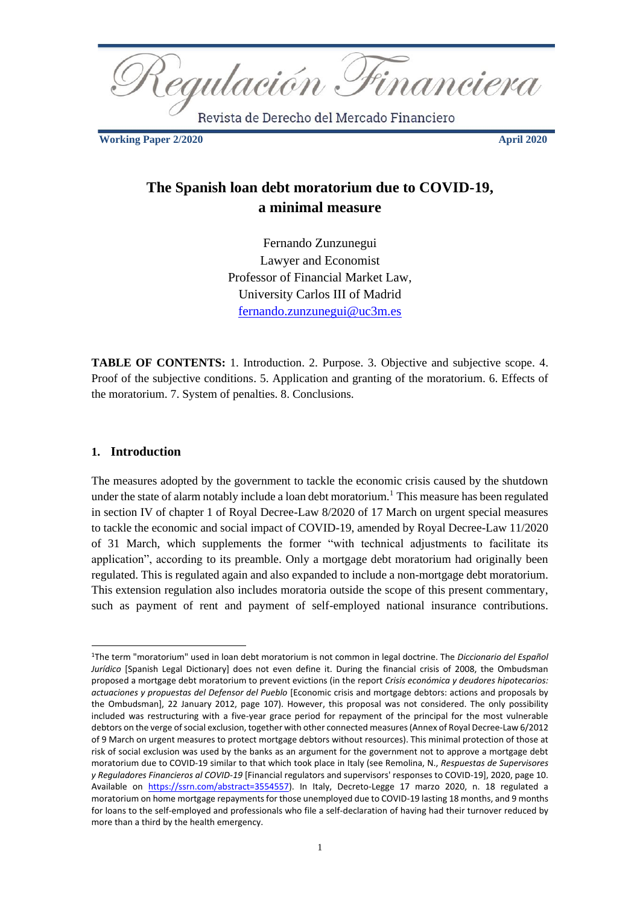<u> Regulación Financiera</u>

Revista de Derecho del Mercado Financiero

**Working Paper 2/2020 April 2020** 

# **The Spanish loan debt moratorium due to COVID-19, a minimal measure**

Fernando Zunzunegui Lawyer and Economist Professor of Financial Market Law, University Carlos III of Madrid [fernando.zunzunegui@uc3m.es](mailto:fernando.zunzunegui@uc3m.es) 

**TABLE OF CONTENTS:** 1. Introduction. 2. Purpose. 3. Objective and subjective scope. 4. Proof of the subjective conditions. 5. Application and granting of the moratorium. 6. Effects of the moratorium. 7. System of penalties. 8. Conclusions.

#### **1. Introduction**

The measures adopted by the government to tackle the economic crisis caused by the shutdown under the state of alarm notably include a loan debt moratorium.<sup>1</sup> This measure has been regulated in section IV of chapter 1 of Royal Decree-Law 8/2020 of 17 March on urgent special measures to tackle the economic and social impact of COVID-19, amended by Royal Decree-Law 11/2020 of 31 March, which supplements the former "with technical adjustments to facilitate its application", according to its preamble. Only a mortgage debt moratorium had originally been regulated. This is regulated again and also expanded to include a non-mortgage debt moratorium. This extension regulation also includes moratoria outside the scope of this present commentary, such as payment of rent and payment of self-employed national insurance contributions.

<sup>1</sup>The term "moratorium" used in loan debt moratorium is not common in legal doctrine. The *Diccionario del Español Jurídico* [Spanish Legal Dictionary] does not even define it. During the financial crisis of 2008, the Ombudsman proposed a mortgage debt moratorium to prevent evictions (in the report *Crisis económica y deudores hipotecarios: actuaciones y propuestas del Defensor del Pueblo* [Economic crisis and mortgage debtors: actions and proposals by the Ombudsman], 22 January 2012, page 107). However, this proposal was not considered. The only possibility included was restructuring with a five-year grace period for repayment of the principal for the most vulnerable debtors on the verge of social exclusion, together with other connected measures (Annex of Royal Decree-Law 6/2012 of 9 March on urgent measures to protect mortgage debtors without resources). This minimal protection of those at risk of social exclusion was used by the banks as an argument for the government not to approve a mortgage debt moratorium due to COVID-19 similar to that which took place in Italy (see Remolina, N., *Respuestas de Supervisores y Reguladores Financieros al COVID-19* [Financial regulators and supervisors' responses to COVID-19], 2020, page 10. Available on [https://ssrn.com/abstract=3554557\)](https://ssrn.com/abstract=3554557). In Italy, Decreto-Legge 17 marzo 2020, n. 18 regulated a moratorium on home mortgage repayments for those unemployed due to COVID-19 lasting 18 months, and 9 months for loans to the self-employed and professionals who file a self-declaration of having had their turnover reduced by more than a third by the health emergency.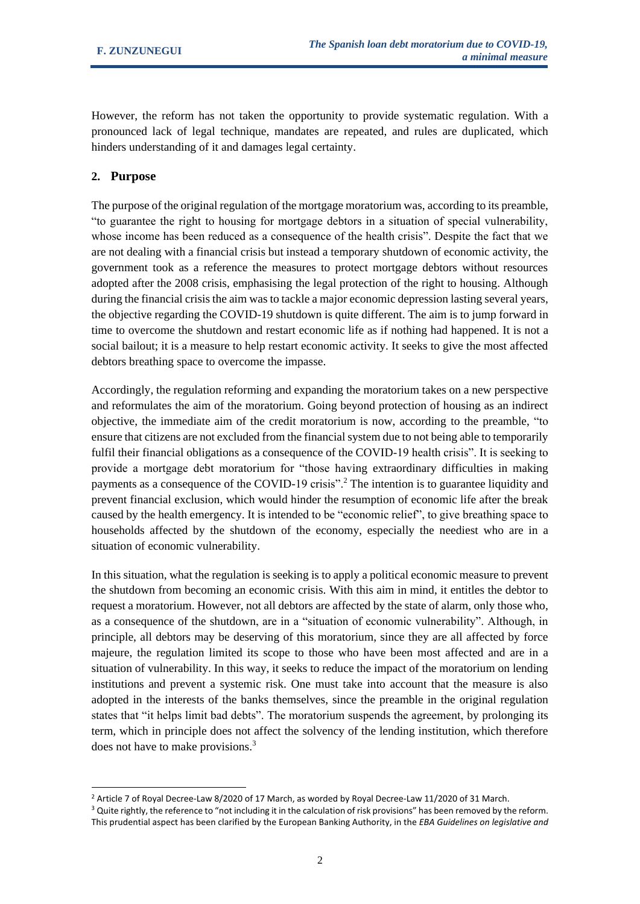However, the reform has not taken the opportunity to provide systematic regulation. With a pronounced lack of legal technique, mandates are repeated, and rules are duplicated, which hinders understanding of it and damages legal certainty.

#### **2. Purpose**

The purpose of the original regulation of the mortgage moratorium was, according to its preamble, "to guarantee the right to housing for mortgage debtors in a situation of special vulnerability, whose income has been reduced as a consequence of the health crisis". Despite the fact that we are not dealing with a financial crisis but instead a temporary shutdown of economic activity, the government took as a reference the measures to protect mortgage debtors without resources adopted after the 2008 crisis, emphasising the legal protection of the right to housing. Although during the financial crisis the aim was to tackle a major economic depression lasting several years, the objective regarding the COVID-19 shutdown is quite different. The aim is to jump forward in time to overcome the shutdown and restart economic life as if nothing had happened. It is not a social bailout; it is a measure to help restart economic activity. It seeks to give the most affected debtors breathing space to overcome the impasse.

Accordingly, the regulation reforming and expanding the moratorium takes on a new perspective and reformulates the aim of the moratorium. Going beyond protection of housing as an indirect objective, the immediate aim of the credit moratorium is now, according to the preamble, "to ensure that citizens are not excluded from the financial system due to not being able to temporarily fulfil their financial obligations as a consequence of the COVID-19 health crisis". It is seeking to provide a mortgage debt moratorium for "those having extraordinary difficulties in making payments as a consequence of the COVID-19 crisis".<sup>2</sup> The intention is to guarantee liquidity and prevent financial exclusion, which would hinder the resumption of economic life after the break caused by the health emergency. It is intended to be "economic relief", to give breathing space to households affected by the shutdown of the economy, especially the neediest who are in a situation of economic vulnerability.

In this situation, what the regulation is seeking is to apply a political economic measure to prevent the shutdown from becoming an economic crisis. With this aim in mind, it entitles the debtor to request a moratorium. However, not all debtors are affected by the state of alarm, only those who, as a consequence of the shutdown, are in a "situation of economic vulnerability". Although, in principle, all debtors may be deserving of this moratorium, since they are all affected by force majeure, the regulation limited its scope to those who have been most affected and are in a situation of vulnerability. In this way, it seeks to reduce the impact of the moratorium on lending institutions and prevent a systemic risk. One must take into account that the measure is also adopted in the interests of the banks themselves, since the preamble in the original regulation states that "it helps limit bad debts". The moratorium suspends the agreement, by prolonging its term, which in principle does not affect the solvency of the lending institution, which therefore does not have to make provisions.<sup>3</sup>

<sup>&</sup>lt;sup>2</sup> Article 7 of Royal Decree-Law 8/2020 of 17 March, as worded by Royal Decree-Law 11/2020 of 31 March.

<sup>&</sup>lt;sup>3</sup> Quite rightly, the reference to "not including it in the calculation of risk provisions" has been removed by the reform. This prudential aspect has been clarified by the European Banking Authority, in the *EBA Guidelines on legislative and*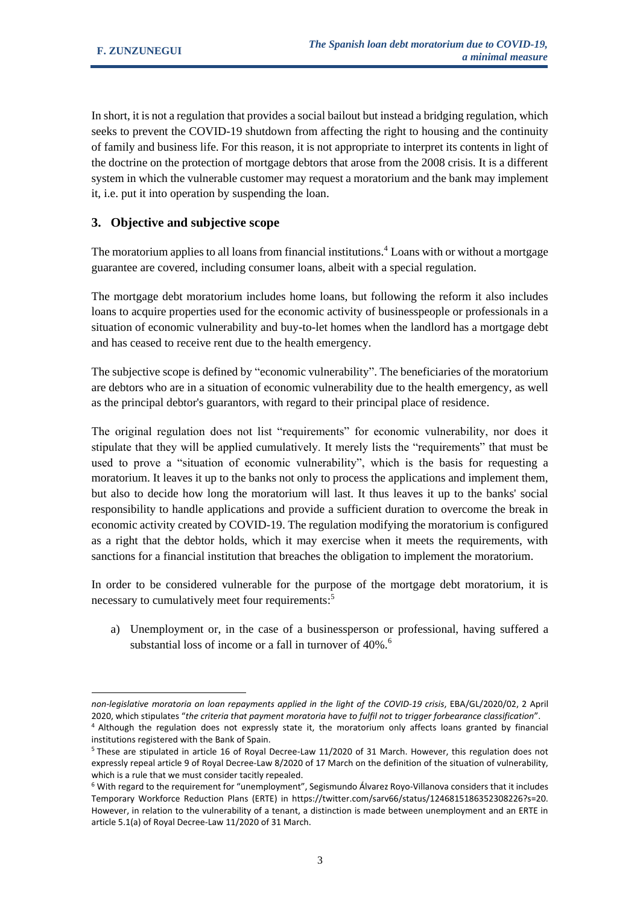In short, it is not a regulation that provides a social bailout but instead a bridging regulation, which seeks to prevent the COVID-19 shutdown from affecting the right to housing and the continuity of family and business life. For this reason, it is not appropriate to interpret its contents in light of the doctrine on the protection of mortgage debtors that arose from the 2008 crisis. It is a different system in which the vulnerable customer may request a moratorium and the bank may implement it, i.e. put it into operation by suspending the loan.

# **3. Objective and subjective scope**

The moratorium applies to all loans from financial institutions.<sup>4</sup> Loans with or without a mortgage guarantee are covered, including consumer loans, albeit with a special regulation.

The mortgage debt moratorium includes home loans, but following the reform it also includes loans to acquire properties used for the economic activity of businesspeople or professionals in a situation of economic vulnerability and buy-to-let homes when the landlord has a mortgage debt and has ceased to receive rent due to the health emergency.

The subjective scope is defined by "economic vulnerability". The beneficiaries of the moratorium are debtors who are in a situation of economic vulnerability due to the health emergency, as well as the principal debtor's guarantors, with regard to their principal place of residence.

The original regulation does not list "requirements" for economic vulnerability, nor does it stipulate that they will be applied cumulatively. It merely lists the "requirements" that must be used to prove a "situation of economic vulnerability", which is the basis for requesting a moratorium. It leaves it up to the banks not only to process the applications and implement them, but also to decide how long the moratorium will last. It thus leaves it up to the banks' social responsibility to handle applications and provide a sufficient duration to overcome the break in economic activity created by COVID-19. The regulation modifying the moratorium is configured as a right that the debtor holds, which it may exercise when it meets the requirements, with sanctions for a financial institution that breaches the obligation to implement the moratorium.

In order to be considered vulnerable for the purpose of the mortgage debt moratorium, it is necessary to cumulatively meet four requirements:<sup>5</sup>

a) Unemployment or, in the case of a businessperson or professional, having suffered a substantial loss of income or a fall in turnover of 40%.<sup>6</sup>

*non-legislative moratoria on loan repayments applied in the light of the COVID-19 crisis*, EBA/GL/2020/02, 2 April 2020, which stipulates "*the criteria that payment moratoria have to fulfil not to trigger forbearance classification*". <sup>4</sup> Although the regulation does not expressly state it, the moratorium only affects loans granted by financial

institutions registered with the Bank of Spain. <sup>5</sup> These are stipulated in article 16 of Royal Decree-Law 11/2020 of 31 March. However, this regulation does not expressly repeal article 9 of Royal Decree-Law 8/2020 of 17 March on the definition of the situation of vulnerability, which is a rule that we must consider tacitly repealed.

<sup>6</sup> With regard to the requirement for "unemployment", Segismundo Álvarez Royo-Villanova considers that it includes Temporary Workforce Reduction Plans (ERTE) in https://twitter.com/sarv66/status/1246815186352308226?s=20. However, in relation to the vulnerability of a tenant, a distinction is made between unemployment and an ERTE in article 5.1(a) of Royal Decree-Law 11/2020 of 31 March.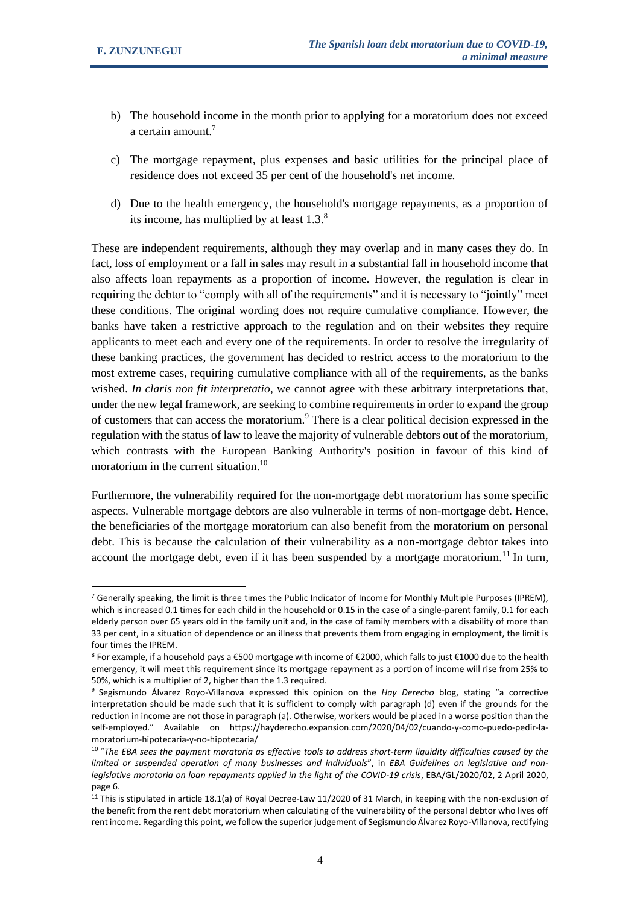- b) The household income in the month prior to applying for a moratorium does not exceed a certain amount.<sup>7</sup>
- c) The mortgage repayment, plus expenses and basic utilities for the principal place of residence does not exceed 35 per cent of the household's net income.
- d) Due to the health emergency, the household's mortgage repayments, as a proportion of its income, has multiplied by at least  $1.3<sup>8</sup>$

These are independent requirements, although they may overlap and in many cases they do. In fact, loss of employment or a fall in sales may result in a substantial fall in household income that also affects loan repayments as a proportion of income. However, the regulation is clear in requiring the debtor to "comply with all of the requirements" and it is necessary to "jointly" meet these conditions. The original wording does not require cumulative compliance. However, the banks have taken a restrictive approach to the regulation and on their websites they require applicants to meet each and every one of the requirements. In order to resolve the irregularity of these banking practices, the government has decided to restrict access to the moratorium to the most extreme cases, requiring cumulative compliance with all of the requirements, as the banks wished. *In claris non fit interpretatio*, we cannot agree with these arbitrary interpretations that, under the new legal framework, are seeking to combine requirements in order to expand the group of customers that can access the moratorium.<sup>9</sup> There is a clear political decision expressed in the regulation with the status of law to leave the majority of vulnerable debtors out of the moratorium, which contrasts with the European Banking Authority's position in favour of this kind of moratorium in the current situation.<sup>10</sup>

Furthermore, the vulnerability required for the non-mortgage debt moratorium has some specific aspects. Vulnerable mortgage debtors are also vulnerable in terms of non-mortgage debt. Hence, the beneficiaries of the mortgage moratorium can also benefit from the moratorium on personal debt. This is because the calculation of their vulnerability as a non-mortgage debtor takes into account the mortgage debt, even if it has been suspended by a mortgage moratorium.<sup>11</sup> In turn,

<sup>&</sup>lt;sup>7</sup> Generally speaking, the limit is three times the Public Indicator of Income for Monthly Multiple Purposes (IPREM), which is increased 0.1 times for each child in the household or 0.15 in the case of a single-parent family, 0.1 for each elderly person over 65 years old in the family unit and, in the case of family members with a disability of more than 33 per cent, in a situation of dependence or an illness that prevents them from engaging in employment, the limit is four times the IPREM.

<sup>8</sup> For example, if a household pays a €500 mortgage with income of €2000, which falls to just €1000 due to the health emergency, it will meet this requirement since its mortgage repayment as a portion of income will rise from 25% to 50%, which is a multiplier of 2, higher than the 1.3 required.

<sup>9</sup> Segismundo Álvarez Royo-Villanova expressed this opinion on the *Hay Derecho* blog, stating "a corrective interpretation should be made such that it is sufficient to comply with paragraph (d) even if the grounds for the reduction in income are not those in paragraph (a). Otherwise, workers would be placed in a worse position than the self-employed." Available on https://hayderecho.expansion.com/2020/04/02/cuando-y-como-puedo-pedir-lamoratorium-hipotecaria-y-no-hipotecaria/

<sup>10</sup> "*The EBA sees the payment moratoria as effective tools to address short-term liquidity difficulties caused by the limited or suspended operation of many businesses and individuals*", in *EBA Guidelines on legislative and nonlegislative moratoria on loan repayments applied in the light of the COVID-19 crisis*, EBA/GL/2020/02, 2 April 2020, page 6.

<sup>&</sup>lt;sup>11</sup> This is stipulated in article 18.1(a) of Royal Decree-Law 11/2020 of 31 March, in keeping with the non-exclusion of the benefit from the rent debt moratorium when calculating of the vulnerability of the personal debtor who lives off rent income. Regarding this point, we follow the superior judgement of Segismundo Álvarez Royo-Villanova, rectifying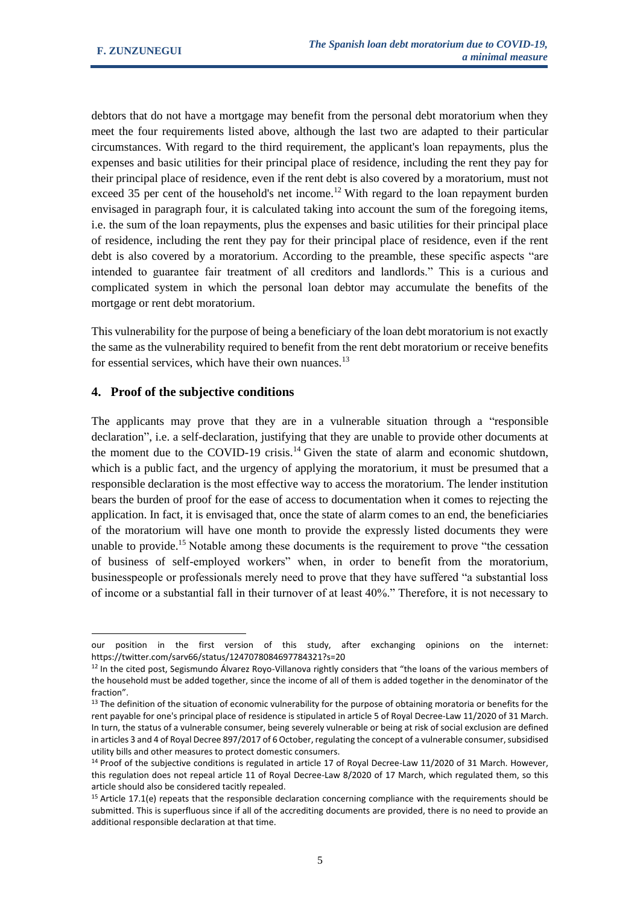debtors that do not have a mortgage may benefit from the personal debt moratorium when they meet the four requirements listed above, although the last two are adapted to their particular circumstances. With regard to the third requirement, the applicant's loan repayments, plus the expenses and basic utilities for their principal place of residence, including the rent they pay for their principal place of residence, even if the rent debt is also covered by a moratorium, must not exceed 35 per cent of the household's net income.<sup>12</sup> With regard to the loan repayment burden envisaged in paragraph four, it is calculated taking into account the sum of the foregoing items, i.e. the sum of the loan repayments, plus the expenses and basic utilities for their principal place of residence, including the rent they pay for their principal place of residence, even if the rent debt is also covered by a moratorium. According to the preamble, these specific aspects "are intended to guarantee fair treatment of all creditors and landlords." This is a curious and complicated system in which the personal loan debtor may accumulate the benefits of the mortgage or rent debt moratorium.

This vulnerability for the purpose of being a beneficiary of the loan debt moratorium is not exactly the same as the vulnerability required to benefit from the rent debt moratorium or receive benefits for essential services, which have their own nuances.<sup>13</sup>

#### **4. Proof of the subjective conditions**

The applicants may prove that they are in a vulnerable situation through a "responsible declaration", i.e. a self-declaration, justifying that they are unable to provide other documents at the moment due to the COVID-19 crisis.<sup>14</sup> Given the state of alarm and economic shutdown, which is a public fact, and the urgency of applying the moratorium, it must be presumed that a responsible declaration is the most effective way to access the moratorium. The lender institution bears the burden of proof for the ease of access to documentation when it comes to rejecting the application. In fact, it is envisaged that, once the state of alarm comes to an end, the beneficiaries of the moratorium will have one month to provide the expressly listed documents they were unable to provide.<sup>15</sup> Notable among these documents is the requirement to prove "the cessation" of business of self-employed workers" when, in order to benefit from the moratorium, businesspeople or professionals merely need to prove that they have suffered "a substantial loss of income or a substantial fall in their turnover of at least 40%." Therefore, it is not necessary to

our position in the first version of this study, after exchanging opinions on the internet: https://twitter.com/sarv66/status/1247078084697784321?s=20

<sup>&</sup>lt;sup>12</sup> In the cited post, Segismundo Álvarez Royo-Villanova rightly considers that "the loans of the various members of the household must be added together, since the income of all of them is added together in the denominator of the fraction".

<sup>&</sup>lt;sup>13</sup> The definition of the situation of economic vulnerability for the purpose of obtaining moratoria or benefits for the rent payable for one's principal place of residence is stipulated in article 5 of Royal Decree-Law 11/2020 of 31 March. In turn, the status of a vulnerable consumer, being severely vulnerable or being at risk of social exclusion are defined in articles 3 and 4 of Royal Decree 897/2017 of 6 October, regulating the concept of a vulnerable consumer, subsidised utility bills and other measures to protect domestic consumers.

<sup>&</sup>lt;sup>14</sup> Proof of the subjective conditions is regulated in article 17 of Royal Decree-Law 11/2020 of 31 March. However, this regulation does not repeal article 11 of Royal Decree-Law 8/2020 of 17 March, which regulated them, so this article should also be considered tacitly repealed.

<sup>&</sup>lt;sup>15</sup> Article 17.1(e) repeats that the responsible declaration concerning compliance with the requirements should be submitted. This is superfluous since if all of the accrediting documents are provided, there is no need to provide an additional responsible declaration at that time.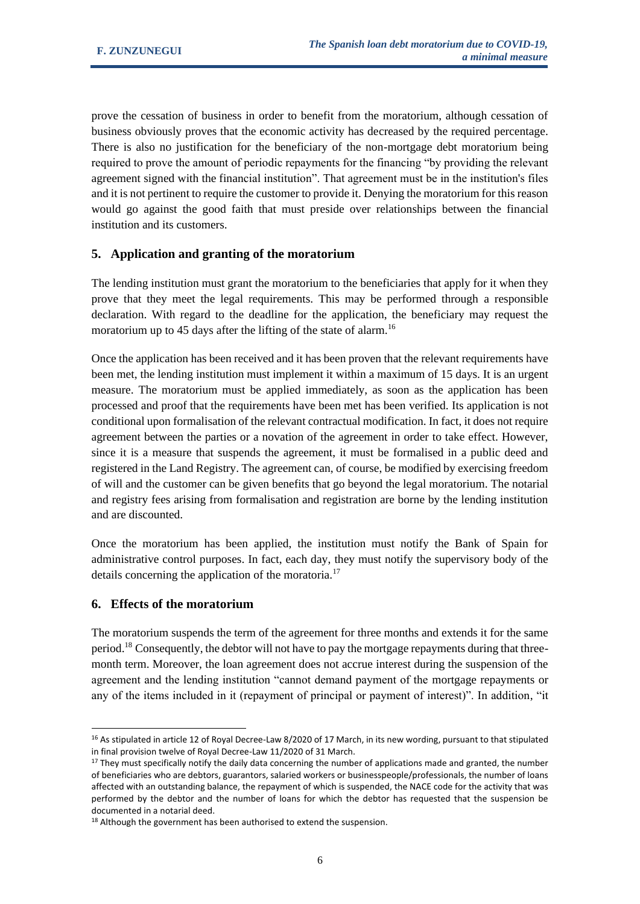prove the cessation of business in order to benefit from the moratorium, although cessation of business obviously proves that the economic activity has decreased by the required percentage. There is also no justification for the beneficiary of the non-mortgage debt moratorium being required to prove the amount of periodic repayments for the financing "by providing the relevant agreement signed with the financial institution". That agreement must be in the institution's files and it is not pertinent to require the customer to provide it. Denying the moratorium for this reason would go against the good faith that must preside over relationships between the financial institution and its customers.

# **5. Application and granting of the moratorium**

The lending institution must grant the moratorium to the beneficiaries that apply for it when they prove that they meet the legal requirements. This may be performed through a responsible declaration. With regard to the deadline for the application, the beneficiary may request the moratorium up to 45 days after the lifting of the state of alarm.<sup>16</sup>

Once the application has been received and it has been proven that the relevant requirements have been met, the lending institution must implement it within a maximum of 15 days. It is an urgent measure. The moratorium must be applied immediately, as soon as the application has been processed and proof that the requirements have been met has been verified. Its application is not conditional upon formalisation of the relevant contractual modification. In fact, it does not require agreement between the parties or a novation of the agreement in order to take effect. However, since it is a measure that suspends the agreement, it must be formalised in a public deed and registered in the Land Registry. The agreement can, of course, be modified by exercising freedom of will and the customer can be given benefits that go beyond the legal moratorium. The notarial and registry fees arising from formalisation and registration are borne by the lending institution and are discounted.

Once the moratorium has been applied, the institution must notify the Bank of Spain for administrative control purposes. In fact, each day, they must notify the supervisory body of the details concerning the application of the moratoria.<sup>17</sup>

#### **6. Effects of the moratorium**

The moratorium suspends the term of the agreement for three months and extends it for the same period.<sup>18</sup> Consequently, the debtor will not have to pay the mortgage repayments during that threemonth term. Moreover, the loan agreement does not accrue interest during the suspension of the agreement and the lending institution "cannot demand payment of the mortgage repayments or any of the items included in it (repayment of principal or payment of interest)". In addition, "it

<sup>&</sup>lt;sup>16</sup> As stipulated in article 12 of Royal Decree-Law 8/2020 of 17 March, in its new wording, pursuant to that stipulated in final provision twelve of Royal Decree-Law 11/2020 of 31 March.

 $17$  They must specifically notify the daily data concerning the number of applications made and granted, the number of beneficiaries who are debtors, guarantors, salaried workers or businesspeople/professionals, the number of loans affected with an outstanding balance, the repayment of which is suspended, the NACE code for the activity that was performed by the debtor and the number of loans for which the debtor has requested that the suspension be documented in a notarial deed.

<sup>&</sup>lt;sup>18</sup> Although the government has been authorised to extend the suspension.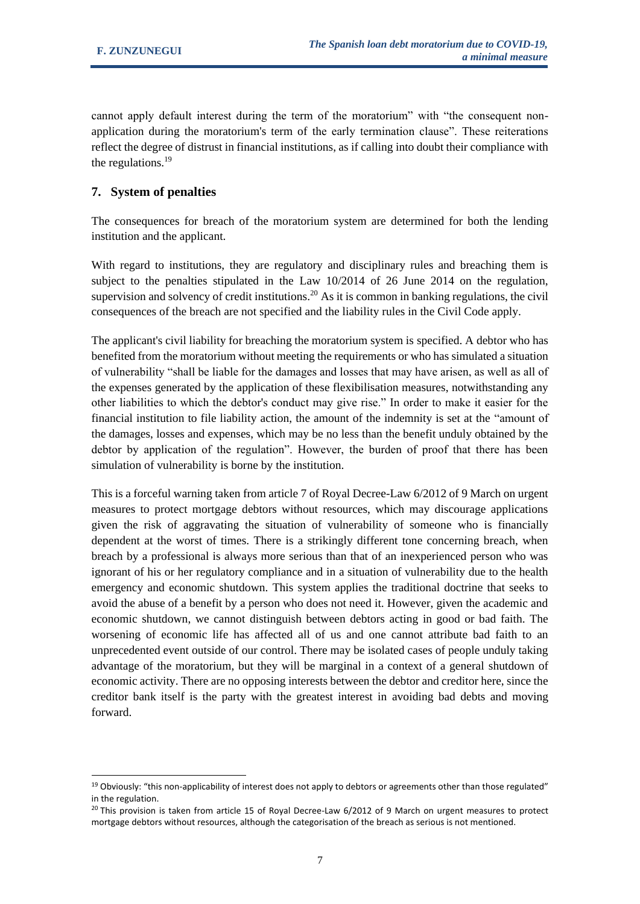cannot apply default interest during the term of the moratorium" with "the consequent nonapplication during the moratorium's term of the early termination clause". These reiterations reflect the degree of distrust in financial institutions, as if calling into doubt their compliance with the regulations. $19$ 

## **7. System of penalties**

The consequences for breach of the moratorium system are determined for both the lending institution and the applicant.

With regard to institutions, they are regulatory and disciplinary rules and breaching them is subject to the penalties stipulated in the Law 10/2014 of 26 June 2014 on the regulation, supervision and solvency of credit institutions.<sup>20</sup> As it is common in banking regulations, the civil consequences of the breach are not specified and the liability rules in the Civil Code apply.

The applicant's civil liability for breaching the moratorium system is specified. A debtor who has benefited from the moratorium without meeting the requirements or who has simulated a situation of vulnerability "shall be liable for the damages and losses that may have arisen, as well as all of the expenses generated by the application of these flexibilisation measures, notwithstanding any other liabilities to which the debtor's conduct may give rise." In order to make it easier for the financial institution to file liability action, the amount of the indemnity is set at the "amount of the damages, losses and expenses, which may be no less than the benefit unduly obtained by the debtor by application of the regulation". However, the burden of proof that there has been simulation of vulnerability is borne by the institution.

This is a forceful warning taken from article 7 of Royal Decree-Law 6/2012 of 9 March on urgent measures to protect mortgage debtors without resources, which may discourage applications given the risk of aggravating the situation of vulnerability of someone who is financially dependent at the worst of times. There is a strikingly different tone concerning breach, when breach by a professional is always more serious than that of an inexperienced person who was ignorant of his or her regulatory compliance and in a situation of vulnerability due to the health emergency and economic shutdown. This system applies the traditional doctrine that seeks to avoid the abuse of a benefit by a person who does not need it. However, given the academic and economic shutdown, we cannot distinguish between debtors acting in good or bad faith. The worsening of economic life has affected all of us and one cannot attribute bad faith to an unprecedented event outside of our control. There may be isolated cases of people unduly taking advantage of the moratorium, but they will be marginal in a context of a general shutdown of economic activity. There are no opposing interests between the debtor and creditor here, since the creditor bank itself is the party with the greatest interest in avoiding bad debts and moving forward.

 $19$  Obviously: "this non-applicability of interest does not apply to debtors or agreements other than those regulated" in the regulation.

 $20$  This provision is taken from article 15 of Royal Decree-Law 6/2012 of 9 March on urgent measures to protect mortgage debtors without resources, although the categorisation of the breach as serious is not mentioned.